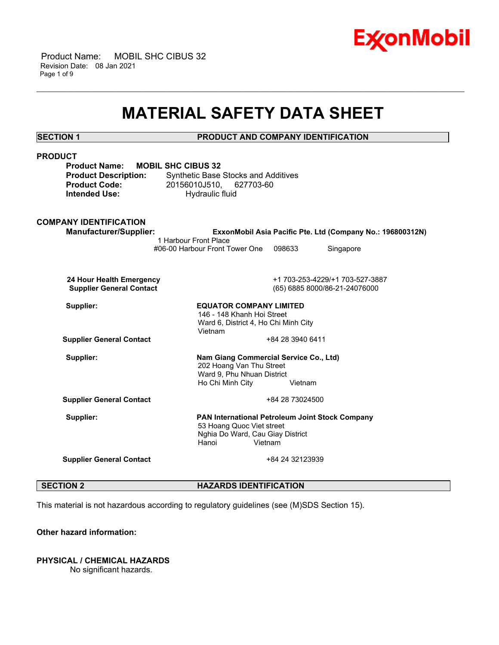

 Product Name: MOBIL SHC CIBUS 32 Revision Date: 08 Jan 2021 Page 1 of 9

## **MATERIAL SAFETY DATA SHEET**

\_\_\_\_\_\_\_\_\_\_\_\_\_\_\_\_\_\_\_\_\_\_\_\_\_\_\_\_\_\_\_\_\_\_\_\_\_\_\_\_\_\_\_\_\_\_\_\_\_\_\_\_\_\_\_\_\_\_\_\_\_\_\_\_\_\_\_\_\_\_\_\_\_\_\_\_\_\_\_\_\_\_\_\_\_\_\_\_\_\_\_\_\_\_\_\_\_\_\_\_\_\_\_\_\_\_\_\_\_\_\_\_\_\_\_\_\_\_

### **SECTION 1 PRODUCT AND COMPANY IDENTIFICATION**

| <b>PRODUCT</b>                                    |                                                 |                  |                                                            |
|---------------------------------------------------|-------------------------------------------------|------------------|------------------------------------------------------------|
| <b>Product Name:</b><br><b>MOBIL SHC CIBUS 32</b> |                                                 |                  |                                                            |
| <b>Product Description:</b>                       | <b>Synthetic Base Stocks and Additives</b>      |                  |                                                            |
| <b>Product Code:</b>                              | 20156010J510, 627703-60                         |                  |                                                            |
| <b>Intended Use:</b>                              | Hydraulic fluid                                 |                  |                                                            |
|                                                   |                                                 |                  |                                                            |
| <b>COMPANY IDENTIFICATION</b>                     |                                                 |                  |                                                            |
| Manufacturer/Supplier:                            |                                                 |                  | ExxonMobil Asia Pacific Pte. Ltd (Company No.: 196800312N) |
|                                                   | 1 Harbour Front Place                           |                  |                                                            |
|                                                   | #06-00 Harbour Front Tower One                  | 098633           | Singapore                                                  |
|                                                   |                                                 |                  |                                                            |
|                                                   |                                                 |                  |                                                            |
| 24 Hour Health Emergency                          |                                                 |                  | +1 703-253-4229/+1 703-527-3887                            |
| <b>Supplier General Contact</b>                   |                                                 |                  | (65) 6885 8000/86-21-24076000                              |
| Supplier:                                         | <b>EQUATOR COMPANY LIMITED</b>                  |                  |                                                            |
|                                                   | 146 - 148 Khanh Hoi Street                      |                  |                                                            |
|                                                   | Ward 6, District 4, Ho Chi Minh City            |                  |                                                            |
|                                                   | Vietnam                                         |                  |                                                            |
| <b>Supplier General Contact</b>                   |                                                 | +84 28 3940 6411 |                                                            |
| Supplier:                                         | Nam Giang Commercial Service Co., Ltd)          |                  |                                                            |
|                                                   | 202 Hoang Van Thu Street                        |                  |                                                            |
|                                                   | Ward 9, Phu Nhuan District                      |                  |                                                            |
|                                                   | Ho Chi Minh City                                | Vietnam          |                                                            |
| <b>Supplier General Contact</b>                   |                                                 | +84 28 73024500  |                                                            |
|                                                   |                                                 |                  |                                                            |
| Supplier:                                         | PAN International Petroleum Joint Stock Company |                  |                                                            |
|                                                   | 53 Hoang Quoc Viet street                       |                  |                                                            |
|                                                   | Nghia Do Ward, Cau Giay District                |                  |                                                            |
|                                                   | Hanoi<br>Vietnam                                |                  |                                                            |
| <b>Supplier General Contact</b>                   |                                                 | +84 24 32123939  |                                                            |
|                                                   |                                                 |                  |                                                            |
|                                                   |                                                 |                  |                                                            |
| <b>SECTION 2</b>                                  | <b>HAZARDS IDENTIFICATION</b>                   |                  |                                                            |

This material is not hazardous according to regulatory guidelines (see (M)SDS Section 15).

### **Other hazard information:**

### **PHYSICAL / CHEMICAL HAZARDS**

No significant hazards.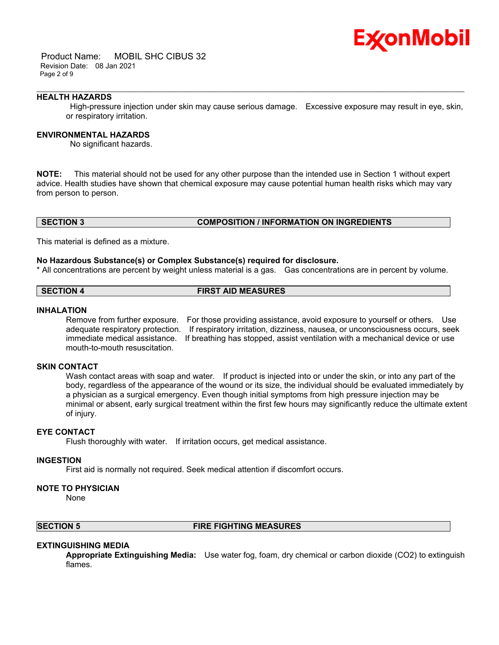

 Product Name: MOBIL SHC CIBUS 32 Revision Date: 08 Jan 2021 Page 2 of 9

#### **HEALTH HAZARDS**

 High-pressure injection under skin may cause serious damage. Excessive exposure may result in eye, skin, or respiratory irritation.

\_\_\_\_\_\_\_\_\_\_\_\_\_\_\_\_\_\_\_\_\_\_\_\_\_\_\_\_\_\_\_\_\_\_\_\_\_\_\_\_\_\_\_\_\_\_\_\_\_\_\_\_\_\_\_\_\_\_\_\_\_\_\_\_\_\_\_\_\_\_\_\_\_\_\_\_\_\_\_\_\_\_\_\_\_\_\_\_\_\_\_\_\_\_\_\_\_\_\_\_\_\_\_\_\_\_\_\_\_\_\_\_\_\_\_\_\_\_

### **ENVIRONMENTAL HAZARDS**

No significant hazards.

**NOTE:** This material should not be used for any other purpose than the intended use in Section 1 without expert advice. Health studies have shown that chemical exposure may cause potential human health risks which may vary from person to person.

#### **SECTION 3 COMPOSITION / INFORMATION ON INGREDIENTS**

This material is defined as a mixture.

#### **No Hazardous Substance(s) or Complex Substance(s) required for disclosure.**

\* All concentrations are percent by weight unless material is a gas. Gas concentrations are in percent by volume.

#### **SECTION 4 FIRST AID MEASURES**

#### **INHALATION**

Remove from further exposure. For those providing assistance, avoid exposure to yourself or others. Use adequate respiratory protection. If respiratory irritation, dizziness, nausea, or unconsciousness occurs, seek immediate medical assistance. If breathing has stopped, assist ventilation with a mechanical device or use mouth-to-mouth resuscitation.

#### **SKIN CONTACT**

Wash contact areas with soap and water. If product is injected into or under the skin, or into any part of the body, regardless of the appearance of the wound or its size, the individual should be evaluated immediately by a physician as a surgical emergency. Even though initial symptoms from high pressure injection may be minimal or absent, early surgical treatment within the first few hours may significantly reduce the ultimate extent of injury.

#### **EYE CONTACT**

Flush thoroughly with water. If irritation occurs, get medical assistance.

#### **INGESTION**

First aid is normally not required. Seek medical attention if discomfort occurs.

#### **NOTE TO PHYSICIAN**

None

#### **SECTION 5 FIRE FIGHTING MEASURES**

#### **EXTINGUISHING MEDIA**

**Appropriate Extinguishing Media:** Use water fog, foam, dry chemical or carbon dioxide (CO2) to extinguish flames.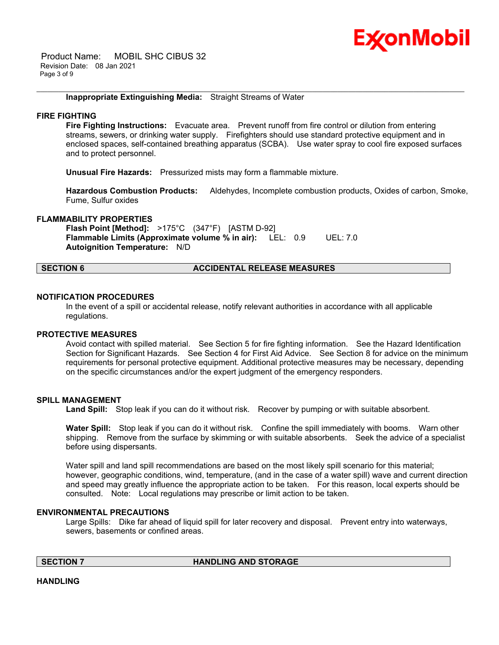# Ex⁄onMobil

 Product Name: MOBIL SHC CIBUS 32 Revision Date: 08 Jan 2021 Page 3 of 9

#### **Inappropriate Extinguishing Media:** Straight Streams of Water

#### **FIRE FIGHTING**

**Fire Fighting Instructions:** Evacuate area. Prevent runoff from fire control or dilution from entering streams, sewers, or drinking water supply. Firefighters should use standard protective equipment and in enclosed spaces, self-contained breathing apparatus (SCBA). Use water spray to cool fire exposed surfaces and to protect personnel.

\_\_\_\_\_\_\_\_\_\_\_\_\_\_\_\_\_\_\_\_\_\_\_\_\_\_\_\_\_\_\_\_\_\_\_\_\_\_\_\_\_\_\_\_\_\_\_\_\_\_\_\_\_\_\_\_\_\_\_\_\_\_\_\_\_\_\_\_\_\_\_\_\_\_\_\_\_\_\_\_\_\_\_\_\_\_\_\_\_\_\_\_\_\_\_\_\_\_\_\_\_\_\_\_\_\_\_\_\_\_\_\_\_\_\_\_\_\_

**Unusual Fire Hazards:** Pressurized mists may form a flammable mixture.

**Hazardous Combustion Products:** Aldehydes, Incomplete combustion products, Oxides of carbon, Smoke, Fume, Sulfur oxides

#### **FLAMMABILITY PROPERTIES**

**Flash Point [Method]:** >175°C (347°F) [ASTM D-92] **Flammable Limits (Approximate volume % in air):** LEL: 0.9 UEL: 7.0 **Autoignition Temperature:** N/D

#### **SECTION 6 ACCIDENTAL RELEASE MEASURES**

#### **NOTIFICATION PROCEDURES**

In the event of a spill or accidental release, notify relevant authorities in accordance with all applicable regulations.

#### **PROTECTIVE MEASURES**

Avoid contact with spilled material. See Section 5 for fire fighting information. See the Hazard Identification Section for Significant Hazards. See Section 4 for First Aid Advice. See Section 8 for advice on the minimum requirements for personal protective equipment. Additional protective measures may be necessary, depending on the specific circumstances and/or the expert judgment of the emergency responders.

#### **SPILL MANAGEMENT**

Land Spill: Stop leak if you can do it without risk. Recover by pumping or with suitable absorbent.

**Water Spill:** Stop leak if you can do it without risk. Confine the spill immediately with booms. Warn other shipping. Remove from the surface by skimming or with suitable absorbents. Seek the advice of a specialist before using dispersants.

Water spill and land spill recommendations are based on the most likely spill scenario for this material; however, geographic conditions, wind, temperature, (and in the case of a water spill) wave and current direction and speed may greatly influence the appropriate action to be taken. For this reason, local experts should be consulted. Note: Local regulations may prescribe or limit action to be taken.

#### **ENVIRONMENTAL PRECAUTIONS**

Large Spills: Dike far ahead of liquid spill for later recovery and disposal. Prevent entry into waterways, sewers, basements or confined areas.

**SECTION 7 HANDLING AND STORAGE** 

**HANDLING**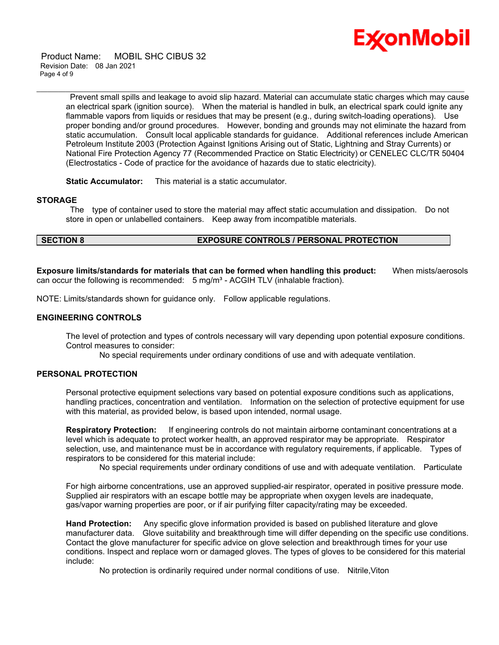

 Product Name: MOBIL SHC CIBUS 32 Revision Date: 08 Jan 2021 Page 4 of 9

> Prevent small spills and leakage to avoid slip hazard. Material can accumulate static charges which may cause an electrical spark (ignition source). When the material is handled in bulk, an electrical spark could ignite any flammable vapors from liquids or residues that may be present (e.g., during switch-loading operations). Use proper bonding and/or ground procedures. However, bonding and grounds may not eliminate the hazard from static accumulation. Consult local applicable standards for guidance. Additional references include American Petroleum Institute 2003 (Protection Against Ignitions Arising out of Static, Lightning and Stray Currents) or National Fire Protection Agency 77 (Recommended Practice on Static Electricity) or CENELEC CLC/TR 50404 (Electrostatics - Code of practice for the avoidance of hazards due to static electricity).

\_\_\_\_\_\_\_\_\_\_\_\_\_\_\_\_\_\_\_\_\_\_\_\_\_\_\_\_\_\_\_\_\_\_\_\_\_\_\_\_\_\_\_\_\_\_\_\_\_\_\_\_\_\_\_\_\_\_\_\_\_\_\_\_\_\_\_\_\_\_\_\_\_\_\_\_\_\_\_\_\_\_\_\_\_\_\_\_\_\_\_\_\_\_\_\_\_\_\_\_\_\_\_\_\_\_\_\_\_\_\_\_\_\_\_\_\_\_

**Static Accumulator:** This material is a static accumulator.

#### **STORAGE**

 The type of container used to store the material may affect static accumulation and dissipation. Do not store in open or unlabelled containers. Keep away from incompatible materials.

### **SECTION 8 EXPOSURE CONTROLS / PERSONAL PROTECTION**

**Exposure limits/standards for materials that can be formed when handling this product:** When mists/aerosols can occur the following is recommended:  $5 \text{ mg/m}^3$  - ACGIH TLV (inhalable fraction).

NOTE: Limits/standards shown for guidance only. Follow applicable regulations.

#### **ENGINEERING CONTROLS**

The level of protection and types of controls necessary will vary depending upon potential exposure conditions. Control measures to consider:

No special requirements under ordinary conditions of use and with adequate ventilation.

#### **PERSONAL PROTECTION**

Personal protective equipment selections vary based on potential exposure conditions such as applications, handling practices, concentration and ventilation. Information on the selection of protective equipment for use with this material, as provided below, is based upon intended, normal usage.

**Respiratory Protection:** If engineering controls do not maintain airborne contaminant concentrations at a level which is adequate to protect worker health, an approved respirator may be appropriate. Respirator selection, use, and maintenance must be in accordance with regulatory requirements, if applicable. Types of respirators to be considered for this material include:

No special requirements under ordinary conditions of use and with adequate ventilation. Particulate

For high airborne concentrations, use an approved supplied-air respirator, operated in positive pressure mode. Supplied air respirators with an escape bottle may be appropriate when oxygen levels are inadequate, gas/vapor warning properties are poor, or if air purifying filter capacity/rating may be exceeded.

**Hand Protection:** Any specific glove information provided is based on published literature and glove manufacturer data. Glove suitability and breakthrough time will differ depending on the specific use conditions. Contact the glove manufacturer for specific advice on glove selection and breakthrough times for your use conditions. Inspect and replace worn or damaged gloves. The types of gloves to be considered for this material include:

No protection is ordinarily required under normal conditions of use. Nitrile,Viton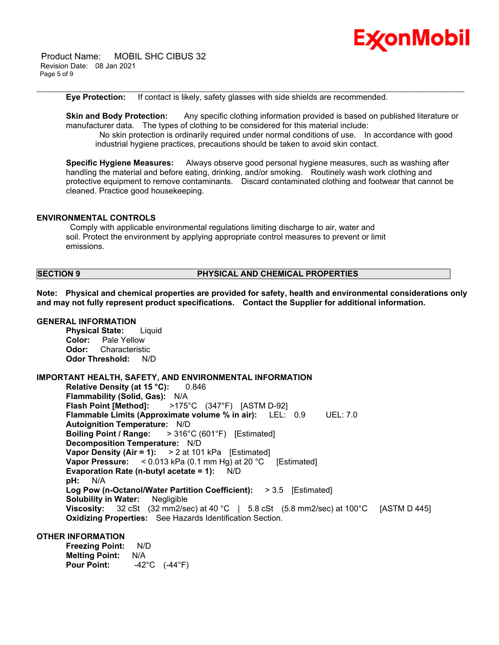

 Product Name: MOBIL SHC CIBUS 32 Revision Date: 08 Jan 2021 Page 5 of 9

**Eye Protection:** If contact is likely, safety glasses with side shields are recommended.

**Skin and Body Protection:** Any specific clothing information provided is based on published literature or manufacturer data. The types of clothing to be considered for this material include: No skin protection is ordinarily required under normal conditions of use. In accordance with good industrial hygiene practices, precautions should be taken to avoid skin contact.

\_\_\_\_\_\_\_\_\_\_\_\_\_\_\_\_\_\_\_\_\_\_\_\_\_\_\_\_\_\_\_\_\_\_\_\_\_\_\_\_\_\_\_\_\_\_\_\_\_\_\_\_\_\_\_\_\_\_\_\_\_\_\_\_\_\_\_\_\_\_\_\_\_\_\_\_\_\_\_\_\_\_\_\_\_\_\_\_\_\_\_\_\_\_\_\_\_\_\_\_\_\_\_\_\_\_\_\_\_\_\_\_\_\_\_\_\_\_

**Specific Hygiene Measures:** Always observe good personal hygiene measures, such as washing after handling the material and before eating, drinking, and/or smoking. Routinely wash work clothing and protective equipment to remove contaminants. Discard contaminated clothing and footwear that cannot be cleaned. Practice good housekeeping.

#### **ENVIRONMENTAL CONTROLS**

 Comply with applicable environmental regulations limiting discharge to air, water and soil. Protect the environment by applying appropriate control measures to prevent or limit emissions.

#### **SECTION 9 PHYSICAL AND CHEMICAL PROPERTIES**

**Note: Physical and chemical properties are provided for safety, health and environmental considerations only and may not fully represent product specifications. Contact the Supplier for additional information.**

#### **GENERAL INFORMATION**

**Physical State:** Liquid **Color:** Pale Yellow **Odor:** Characteristic **Odor Threshold:** N/D

#### **IMPORTANT HEALTH, SAFETY, AND ENVIRONMENTAL INFORMATION**

**Relative Density (at 15 °C):** 0.846 **Flammability (Solid, Gas):** N/A **Flash Point [Method]:** >175°C (347°F) [ASTM D-92] **Flammable Limits (Approximate volume % in air):** LEL: 0.9 UEL: 7.0 **Autoignition Temperature:** N/D **Boiling Point / Range:** > 316°C (601°F) [Estimated] **Decomposition Temperature:** N/D **Vapor Density (Air = 1):** > 2 at 101 kPa [Estimated] **Vapor Pressure:** < 0.013 kPa (0.1 mm Hg) at 20 °C [Estimated] **Evaporation Rate (n-butyl acetate = 1):** N/D **pH:** N/A **Log Pow (n-Octanol/Water Partition Coefficient):** > 3.5 [Estimated] **Solubility in Water:** Negligible **Viscosity:** 32 cSt (32 mm2/sec) at 40 °C | 5.8 cSt (5.8 mm2/sec) at 100 °C [ASTM D 445] **Oxidizing Properties:** See Hazards Identification Section.

#### **OTHER INFORMATION**

**Freezing Point:** N/D **Melting Point: N/A<br>Pour Point: 42 Pour Point:** -42°C (-44°F)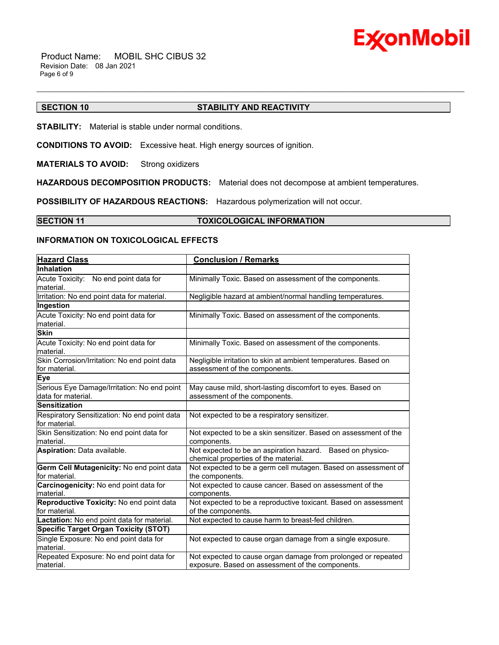

 Product Name: MOBIL SHC CIBUS 32 Revision Date: 08 Jan 2021 Page 6 of 9

### **SECTION 10 STABILITY AND REACTIVITY**

\_\_\_\_\_\_\_\_\_\_\_\_\_\_\_\_\_\_\_\_\_\_\_\_\_\_\_\_\_\_\_\_\_\_\_\_\_\_\_\_\_\_\_\_\_\_\_\_\_\_\_\_\_\_\_\_\_\_\_\_\_\_\_\_\_\_\_\_\_\_\_\_\_\_\_\_\_\_\_\_\_\_\_\_\_\_\_\_\_\_\_\_\_\_\_\_\_\_\_\_\_\_\_\_\_\_\_\_\_\_\_\_\_\_\_\_\_\_

**STABILITY:** Material is stable under normal conditions.

**CONDITIONS TO AVOID:** Excessive heat. High energy sources of ignition.

**MATERIALS TO AVOID:** Strong oxidizers

**HAZARDOUS DECOMPOSITION PRODUCTS:** Material does not decompose at ambient temperatures.

**POSSIBILITY OF HAZARDOUS REACTIONS:** Hazardous polymerization will not occur.

#### **SECTION 11 TOXICOLOGICAL INFORMATION**

### **INFORMATION ON TOXICOLOGICAL EFFECTS**

| <b>Hazard Class</b>                                               | <b>Conclusion / Remarks</b>                                                                                       |  |
|-------------------------------------------------------------------|-------------------------------------------------------------------------------------------------------------------|--|
| Inhalation                                                        |                                                                                                                   |  |
| Acute Toxicity: No end point data for<br>material.                | Minimally Toxic. Based on assessment of the components.                                                           |  |
| Irritation: No end point data for material.                       | Negligible hazard at ambient/normal handling temperatures.                                                        |  |
| Ingestion                                                         |                                                                                                                   |  |
| Acute Toxicity: No end point data for<br>material.                | Minimally Toxic. Based on assessment of the components.                                                           |  |
| <b>Skin</b>                                                       |                                                                                                                   |  |
| Acute Toxicity: No end point data for<br>material.                | Minimally Toxic. Based on assessment of the components.                                                           |  |
| Skin Corrosion/Irritation: No end point data<br>for material.     | Negligible irritation to skin at ambient temperatures. Based on<br>assessment of the components.                  |  |
| <b>Eye</b>                                                        |                                                                                                                   |  |
| Serious Eye Damage/Irritation: No end point<br>data for material. | May cause mild, short-lasting discomfort to eyes. Based on<br>assessment of the components.                       |  |
| <b>Sensitization</b>                                              |                                                                                                                   |  |
| Respiratory Sensitization: No end point data<br>for material.     | Not expected to be a respiratory sensitizer.                                                                      |  |
| Skin Sensitization: No end point data for<br>material.            | Not expected to be a skin sensitizer. Based on assessment of the<br>components.                                   |  |
| Aspiration: Data available.                                       | Not expected to be an aspiration hazard. Based on physico-<br>chemical properties of the material.                |  |
| Germ Cell Mutagenicity: No end point data<br>for material.        | Not expected to be a germ cell mutagen. Based on assessment of<br>the components.                                 |  |
| Carcinogenicity: No end point data for<br>material.               | Not expected to cause cancer. Based on assessment of the<br>components.                                           |  |
| Reproductive Toxicity: No end point data<br>for material.         | Not expected to be a reproductive toxicant. Based on assessment<br>of the components.                             |  |
| Lactation: No end point data for material.                        | Not expected to cause harm to breast-fed children.                                                                |  |
| <b>Specific Target Organ Toxicity (STOT)</b>                      |                                                                                                                   |  |
| Single Exposure: No end point data for<br>material.               | Not expected to cause organ damage from a single exposure.                                                        |  |
| Repeated Exposure: No end point data for<br>material.             | Not expected to cause organ damage from prolonged or repeated<br>exposure. Based on assessment of the components. |  |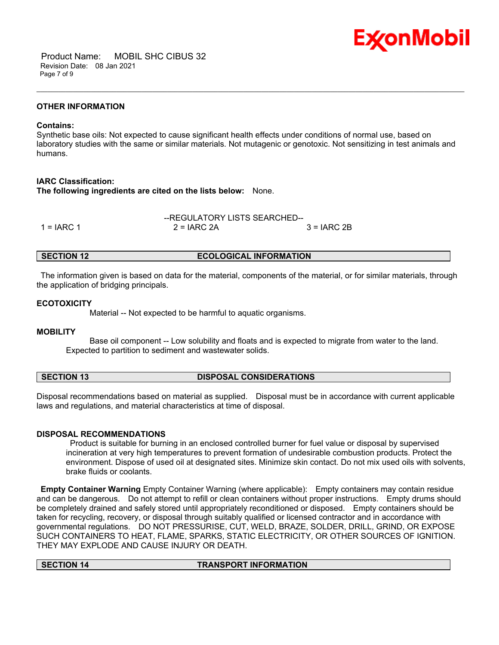

 Product Name: MOBIL SHC CIBUS 32 Revision Date: 08 Jan 2021 Page 7 of 9

#### **OTHER INFORMATION**

#### **Contains:**

Synthetic base oils: Not expected to cause significant health effects under conditions of normal use, based on laboratory studies with the same or similar materials. Not mutagenic or genotoxic. Not sensitizing in test animals and humans.

\_\_\_\_\_\_\_\_\_\_\_\_\_\_\_\_\_\_\_\_\_\_\_\_\_\_\_\_\_\_\_\_\_\_\_\_\_\_\_\_\_\_\_\_\_\_\_\_\_\_\_\_\_\_\_\_\_\_\_\_\_\_\_\_\_\_\_\_\_\_\_\_\_\_\_\_\_\_\_\_\_\_\_\_\_\_\_\_\_\_\_\_\_\_\_\_\_\_\_\_\_\_\_\_\_\_\_\_\_\_\_\_\_\_\_\_\_\_

#### **IARC Classification:**

**The following ingredients are cited on the lists below:** None.

|              | --REGULATORY LISTS SEARCHED-- |              |  |
|--------------|-------------------------------|--------------|--|
| 1 = $IARC 1$ | $2 = IARC 2A$                 | $3 = IARC2B$ |  |

#### **SECTION 12 ECOLOGICAL INFORMATION**

 The information given is based on data for the material, components of the material, or for similar materials, through the application of bridging principals.

#### **ECOTOXICITY**

Material -- Not expected to be harmful to aquatic organisms.

#### **MOBILITY**

 Base oil component -- Low solubility and floats and is expected to migrate from water to the land. Expected to partition to sediment and wastewater solids.

#### **SECTION 13 DISPOSAL CONSIDERATIONS**

Disposal recommendations based on material as supplied. Disposal must be in accordance with current applicable laws and regulations, and material characteristics at time of disposal.

#### **DISPOSAL RECOMMENDATIONS**

 Product is suitable for burning in an enclosed controlled burner for fuel value or disposal by supervised incineration at very high temperatures to prevent formation of undesirable combustion products. Protect the environment. Dispose of used oil at designated sites. Minimize skin contact. Do not mix used oils with solvents, brake fluids or coolants.

**Empty Container Warning** Empty Container Warning (where applicable): Empty containers may contain residue and can be dangerous. Do not attempt to refill or clean containers without proper instructions. Empty drums should be completely drained and safely stored until appropriately reconditioned or disposed. Empty containers should be taken for recycling, recovery, or disposal through suitably qualified or licensed contractor and in accordance with governmental regulations. DO NOT PRESSURISE, CUT, WELD, BRAZE, SOLDER, DRILL, GRIND, OR EXPOSE SUCH CONTAINERS TO HEAT, FLAME, SPARKS, STATIC ELECTRICITY, OR OTHER SOURCES OF IGNITION. THEY MAY EXPLODE AND CAUSE INJURY OR DEATH.

### **SECTION 14 TRANSPORT INFORMATION**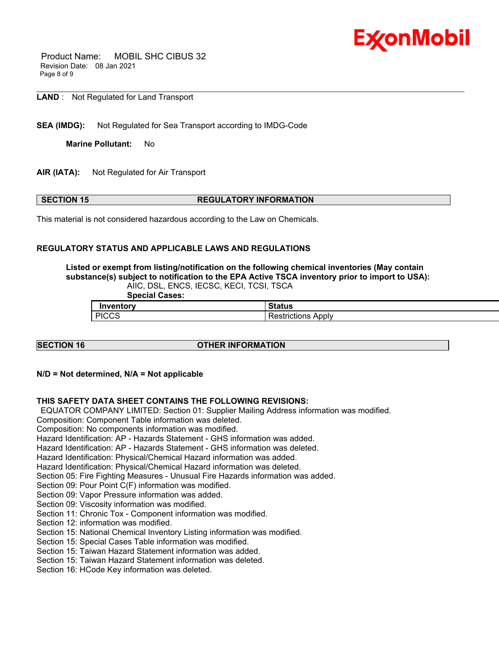

 Product Name: MOBIL SHC CIBUS 32 Revision Date: 08 Jan 2021 Page 8 of 9

**LAND** : Not Regulated for Land Transport

**SEA (IMDG):** Not Regulated for Sea Transport according to IMDG-Code

**Marine Pollutant:** No

**AIR (IATA):** Not Regulated for Air Transport

### **SECTION 15 REGULATORY INFORMATION**

This material is not considered hazardous according to the Law on Chemicals.

#### **REGULATORY STATUS AND APPLICABLE LAWS AND REGULATIONS**

**Listed or exempt from listing/notification on the following chemical inventories (May contain substance(s) subject to notification to the EPA Active TSCA inventory prior to import to USA):**  AIIC, DSL, ENCS, IECSC, KECI, TCSI, TSCA

\_\_\_\_\_\_\_\_\_\_\_\_\_\_\_\_\_\_\_\_\_\_\_\_\_\_\_\_\_\_\_\_\_\_\_\_\_\_\_\_\_\_\_\_\_\_\_\_\_\_\_\_\_\_\_\_\_\_\_\_\_\_\_\_\_\_\_\_\_\_\_\_\_\_\_\_\_\_\_\_\_\_\_\_\_\_\_\_\_\_\_\_\_\_\_\_\_\_\_\_\_\_\_\_\_\_\_\_\_\_\_\_\_\_\_\_\_\_

 **Special Cases:** 

| ventorv      | <b>BL-L---</b>  |
|--------------|-----------------|
| In           | status          |
| <b>PICCS</b> | Apply           |
| טטעו         | <b>TICTIONS</b> |

### **SECTION 16 OTHER INFORMATION**

**N/D = Not determined, N/A = Not applicable**

#### **THIS SAFETY DATA SHEET CONTAINS THE FOLLOWING REVISIONS:**

EQUATOR COMPANY LIMITED: Section 01: Supplier Mailing Address information was modified.

Composition: Component Table information was deleted.

Composition: No components information was modified.

Hazard Identification: AP - Hazards Statement - GHS information was added.

Hazard Identification: AP - Hazards Statement - GHS information was deleted.

Hazard Identification: Physical/Chemical Hazard information was added.

Hazard Identification: Physical/Chemical Hazard information was deleted.

Section 05: Fire Fighting Measures - Unusual Fire Hazards information was added.

Section 09: Pour Point C(F) information was modified.

Section 09: Vapor Pressure information was added.

Section 09: Viscosity information was modified.

Section 11: Chronic Tox - Component information was modified.

Section 12: information was modified.

Section 15: National Chemical Inventory Listing information was modified.

Section 15: Special Cases Table information was modified.

Section 15: Taiwan Hazard Statement information was added.

Section 15: Taiwan Hazard Statement information was deleted.

Section 16: HCode Key information was deleted.